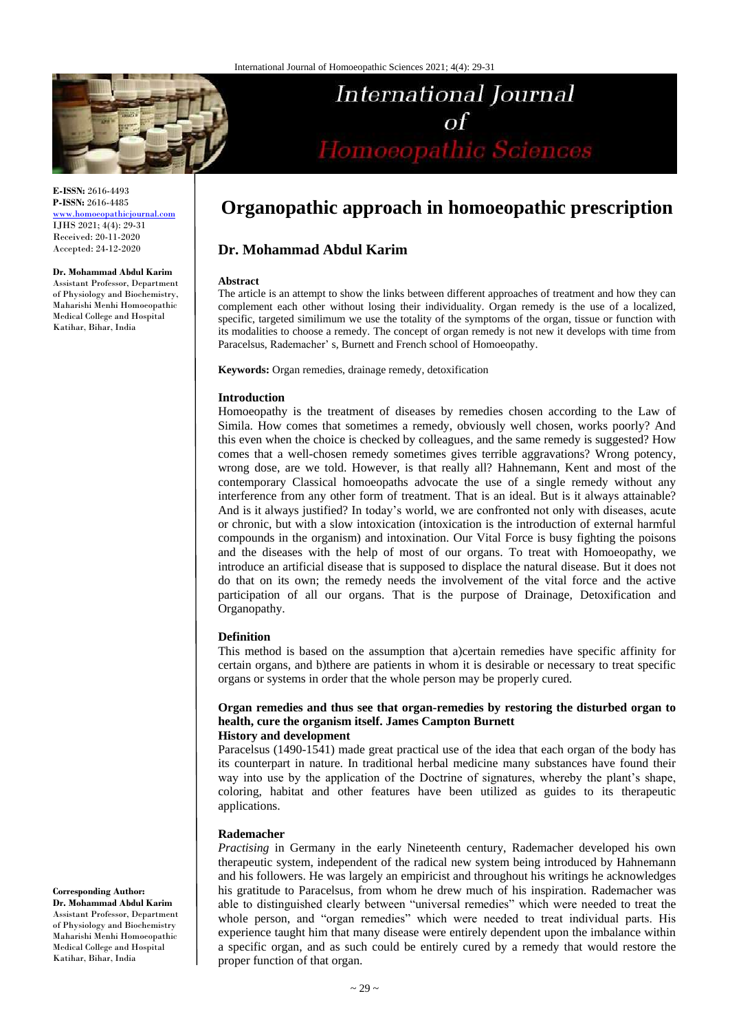

**E-ISSN:** 2616-4493 **P-ISSN:** 2616-4485 [www.homoeopathicjournal.com](file://Server/test/homoeopathicjournal/issue/vol%204/issue%201/www.homoeopathicjournal.com) IJHS 2021; 4(4): 29-31 Received: 20-11-2020 Accepted: 24-12-2020

**Dr. Mohammad Abdul Karim**

Assistant Professor, Department of Physiology and Biochemistry, Maharishi Menhi Homoeopathic Medical College and Hospital Katihar, Bihar, India

# **Organopathic approach in homoeopathic prescription**

International Journal

Homoeopathic Sciences

 $of$ 

# **Dr. Mohammad Abdul Karim**

#### **Abstract**

The article is an attempt to show the links between different approaches of treatment and how they can complement each other without losing their individuality. Organ remedy is the use of a localized, specific, targeted similimum we use the totality of the symptoms of the organ, tissue or function with its modalities to choose a remedy. The concept of organ remedy is not new it develops with time from Paracelsus, Rademacher' s, Burnett and French school of Homoeopathy.

**Keywords:** Organ remedies, drainage remedy, detoxification

### **Introduction**

Homoeopathy is the treatment of diseases by remedies chosen according to the Law of Simila. How comes that sometimes a remedy, obviously well chosen, works poorly? And this even when the choice is checked by colleagues, and the same remedy is suggested? How comes that a well-chosen remedy sometimes gives terrible aggravations? Wrong potency, wrong dose, are we told. However, is that really all? Hahnemann, Kent and most of the contemporary Classical homoeopaths advocate the use of a single remedy without any interference from any other form of treatment. That is an ideal. But is it always attainable? And is it always justified? In today's world, we are confronted not only with diseases, acute or chronic, but with a slow intoxication (intoxication is the introduction of external harmful compounds in the organism) and intoxination. Our Vital Force is busy fighting the poisons and the diseases with the help of most of our organs. To treat with Homoeopathy, we introduce an artificial disease that is supposed to displace the natural disease. But it does not do that on its own; the remedy needs the involvement of the vital force and the active participation of all our organs. That is the purpose of Drainage, Detoxification and Organopathy.

## **Definition**

This method is based on the assumption that a)certain remedies have specific affinity for certain organs, and b)there are patients in whom it is desirable or necessary to treat specific organs or systems in order that the whole person may be properly cured.

#### **Organ remedies and thus see that organ-remedies by restoring the disturbed organ to health, cure the organism itself. James Campton Burnett History and development**

Paracelsus (1490-1541) made great practical use of the idea that each organ of the body has its counterpart in nature. In traditional herbal medicine many substances have found their way into use by the application of the Doctrine of signatures, whereby the plant's shape, coloring, habitat and other features have been utilized as guides to its therapeutic applications.

#### **Rademacher**

*Practising* in Germany in the early Nineteenth century, Rademacher developed his own therapeutic system, independent of the radical new system being introduced by Hahnemann and his followers. He was largely an empiricist and throughout his writings he acknowledges his gratitude to Paracelsus, from whom he drew much of his inspiration. Rademacher was able to distinguished clearly between "universal remedies" which were needed to treat the whole person, and "organ remedies" which were needed to treat individual parts. His experience taught him that many disease were entirely dependent upon the imbalance within a specific organ, and as such could be entirely cured by a remedy that would restore the proper function of that organ.

#### **Corresponding Author:**

**Dr. Mohammad Abdul Karim** Assistant Professor, Department of Physiology and Biochemistry Maharishi Menhi Homoeopathic Medical College and Hospital Katihar, Bihar, India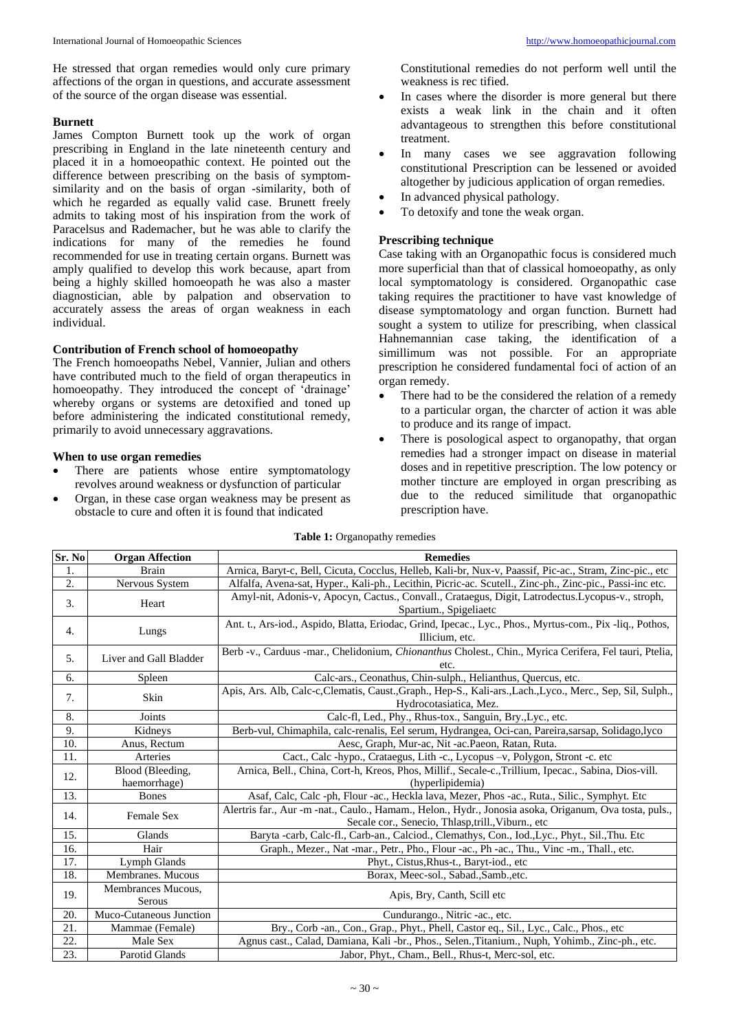He stressed that organ remedies would only cure primary affections of the organ in questions, and accurate assessment of the source of the organ disease was essential.

#### **Burnett**

James Compton Burnett took up the work of organ prescribing in England in the late nineteenth century and placed it in a homoeopathic context. He pointed out the difference between prescribing on the basis of symptomsimilarity and on the basis of organ -similarity, both of which he regarded as equally valid case. Brunett freely admits to taking most of his inspiration from the work of Paracelsus and Rademacher, but he was able to clarify the indications for many of the remedies he found recommended for use in treating certain organs. Burnett was amply qualified to develop this work because, apart from being a highly skilled homoeopath he was also a master diagnostician, able by palpation and observation to accurately assess the areas of organ weakness in each individual.

### **Contribution of French school of homoeopathy**

The French homoeopaths Nebel, Vannier, Julian and others have contributed much to the field of organ therapeutics in homoeopathy. They introduced the concept of 'drainage' whereby organs or systems are detoxified and toned up before administering the indicated constitutional remedy, primarily to avoid unnecessary aggravations.

#### **When to use organ remedies**

- There are patients whose entire symptomatology revolves around weakness or dysfunction of particular
- Organ, in these case organ weakness may be present as obstacle to cure and often it is found that indicated

Constitutional remedies do not perform well until the weakness is rec tified.

- In cases where the disorder is more general but there exists a weak link in the chain and it often advantageous to strengthen this before constitutional treatment.
- In many cases we see aggravation following constitutional Prescription can be lessened or avoided altogether by judicious application of organ remedies.
- In advanced physical pathology.
- To detoxify and tone the weak organ.

# **Prescribing technique**

Case taking with an Organopathic focus is considered much more superficial than that of classical homoeopathy, as only local symptomatology is considered. Organopathic case taking requires the practitioner to have vast knowledge of disease symptomatology and organ function. Burnett had sought a system to utilize for prescribing, when classical Hahnemannian case taking, the identification of a simillimum was not possible. For an appropriate prescription he considered fundamental foci of action of an organ remedy.

- There had to be the considered the relation of a remedy to a particular organ, the charcter of action it was able to produce and its range of impact.
- There is posological aspect to organopathy, that organ remedies had a stronger impact on disease in material doses and in repetitive prescription. The low potency or mother tincture are employed in organ prescribing as due to the reduced similitude that organopathic prescription have.

| Sr. No | <b>Organ Affection</b>              | <b>Remedies</b>                                                                                                                                             |
|--------|-------------------------------------|-------------------------------------------------------------------------------------------------------------------------------------------------------------|
| 1.     | <b>Brain</b>                        | Arnica, Baryt-c, Bell, Cicuta, Cocclus, Helleb, Kali-br, Nux-v, Paassif, Pic-ac., Stram, Zinc-pic., etc                                                     |
| 2.     | Nervous System                      | Alfalfa, Avena-sat, Hyper., Kali-ph., Lecithin, Picric-ac. Scutell., Zinc-ph., Zinc-pic., Passi-inc etc.                                                    |
| 3.     | Heart                               | Amyl-nit, Adonis-v, Apocyn, Cactus., Convall., Crataegus, Digit, Latrodectus.Lycopus-v., stroph,<br>Spartium., Spigeliaetc                                  |
| 4.     | Lungs                               | Ant. t., Ars-iod., Aspido, Blatta, Eriodac, Grind, Ipecac., Lyc., Phos., Myrtus-com., Pix -liq., Pothos,<br>Illicium, etc.                                  |
| 5.     | Liver and Gall Bladder              | Berb -v., Carduus -mar., Chelidonium, Chionanthus Cholest., Chin., Myrica Cerifera, Fel tauri, Ptelia,<br>etc.                                              |
| 6.     | Spleen                              | Calc-ars., Ceonathus, Chin-sulph., Helianthus, Quercus, etc.                                                                                                |
| 7.     | Skin                                | Apis, Ars. Alb, Calc-c, Clematis, Caust., Graph., Hep-S., Kali-ars., Lach., Lyco., Merc., Sep, Sil, Sulph.,<br>Hydrocotasiatica, Mez.                       |
| 8.     | Joints                              | Calc-fl, Led., Phy., Rhus-tox., Sanguin, Bry., Lyc., etc.                                                                                                   |
| 9.     | Kidneys                             | Berb-vul, Chimaphila, calc-renalis, Eel serum, Hydrangea, Oci-can, Pareira, sarsap, Solidago, lyco                                                          |
| 10.    | Anus, Rectum                        | Aesc, Graph, Mur-ac, Nit -ac. Paeon, Ratan, Ruta.                                                                                                           |
| 11.    | Arteries                            | Cact., Calc -hypo., Crataegus, Lith -c., Lycopus -v, Polygon, Stront -c. etc                                                                                |
| 12.    | Blood (Bleeding,                    | Arnica, Bell., China, Cort-h, Kreos, Phos, Millif., Secale-c., Trillium, Ipecac., Sabina, Dios-vill.                                                        |
|        | haemorrhage)                        | (hyperlipidemia)                                                                                                                                            |
| 13.    | <b>Bones</b>                        | Asaf, Calc, Calc -ph, Flour -ac., Heckla lava, Mezer, Phos -ac., Ruta., Silic., Symphyt. Etc                                                                |
| 14.    | Female Sex                          | Alertris far., Aur -m -nat., Caulo., Hamam., Helon., Hydr., Jonosia asoka, Origanum, Ova tosta, puls.,<br>Secale cor., Senecio, Thlasp,trill., Viburn., etc |
| 15.    | Glands                              | Baryta -carb, Calc-fl., Carb-an., Calciod., Clemathys, Con., Iod., Lyc., Phyt., Sil., Thu. Etc                                                              |
| 16.    | Hair                                | Graph., Mezer., Nat -mar., Petr., Pho., Flour -ac., Ph -ac., Thu., Vinc -m., Thall., etc.                                                                   |
| 17.    | Lymph Glands                        | Phyt., Cistus, Rhus-t., Baryt-iod., etc.                                                                                                                    |
| 18.    | Membranes. Mucous                   | Borax, Meec-sol., Sabad., Samb., etc.                                                                                                                       |
| 19.    | Membrances Mucous,<br><b>Serous</b> | Apis, Bry, Canth, Scill etc.                                                                                                                                |
| 20.    | Muco-Cutaneous Junction             | Cundurango., Nitric -ac., etc.                                                                                                                              |
| 21.    | Mammae (Female)                     | Bry., Corb -an., Con., Grap., Phyt., Phell, Castor eq., Sil., Lyc., Calc., Phos., etc                                                                       |
| 22.    | Male Sex                            | Agnus cast., Calad, Damiana, Kali -br., Phos., Selen., Titanium., Nuph, Yohimb., Zinc-ph., etc.                                                             |
| 23.    | Parotid Glands                      | Jabor, Phyt., Cham., Bell., Rhus-t, Merc-sol, etc.                                                                                                          |

#### **Table 1:** Organopathy remedies